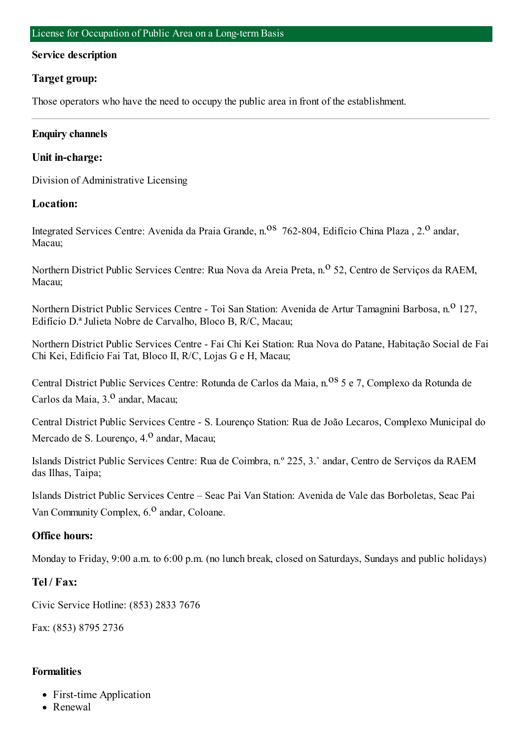#### **Service description**

### **Target group:**

Those operators who have the need to occupy the public area in front of the establishment.

### **Enquiry channels**

## **Unit in-charge:**

Division of Administrative Licensing

### **Location:**

Integrated Services Centre: Avenida da Praia Grande, n.<sup>08</sup> 762-804, Edifício China Plaza, 2.<sup>0</sup> andar, Macau;

Northern District Public Services Centre: Rua Nova da Areia Preta, n.<sup>o</sup> 52, Centro de Servicos da RAEM, Macau;

Northern District Public Services Centre - Toi San Station: Avenida de Artur Tamagnini Barbosa, n.º 127, Edifício D.ª Julieta Nobre de Carvalho, Bloco B, R/C, Macau;

Northern District Public Services Centre - Fai Chi Kei Station: Rua Nova do Patane, Habitação Social de Fai Chi Kei, Edifício Fai Tat, Bloco II, R/C, Lojas G e H, Macau;

Central District Public Services Centre: Rotunda de Carlos da Maia, n.<sup>08</sup> 5 e 7, Complexo da Rotunda de Carlos da Maia, 3.<sup>0</sup> andar, Macau;

Central District Public Services Centre - S. Lourenço Station: Rua de João Lecaros, Complexo Municipal do Mercado de S. Lourenco, 4.<sup>0</sup> andar, Macau;

Islands District Public Services Centre: Rua de Coimbra, n.º 225, 3.˚ andar, Centro de Serviços da RAEM das Ilhas, Taipa;

Islands District Public Services Centre – Seac Pai Van Station: Avenida de Vale das Borboletas, Seac Pai Van Community Complex,  $6<sup>0</sup>$  andar, Coloane.

# **Office hours:**

Monday to Friday, 9:00 a.m. to 6:00 p.m. (no lunch break, closed on Saturdays, Sundays and public holidays)

# **Tel / Fax:**

Civic Service Hotline: (853) 2833 7676

Fax: (853) 8795 2736

### **Formalities**

- First-time Application
- Renewal